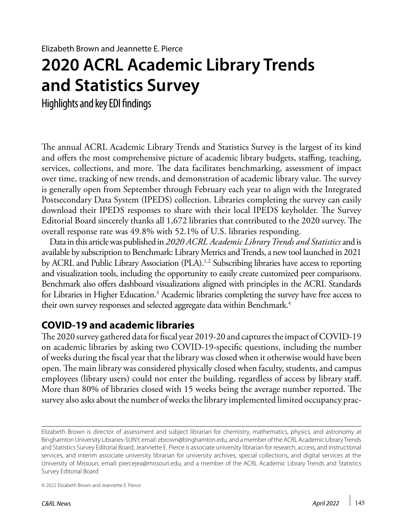# **2020 ACRL Academic Library Trends and Statistics Survey**

Highlights and key EDI findings

The annual ACRL Academic Library Trends and Statistics Survey is the largest of its kind and offers the most comprehensive picture of academic library budgets, staffing, teaching, services, collections, and more. The data facilitates benchmarking, assessment of impact over time, tracking of new trends, and demonstration of academic library value. The survey is generally open from September through February each year to align with the Integrated Postsecondary Data System (IPEDS) collection. Libraries completing the survey can easily download their IPEDS responses to share with their local IPEDS keyholder. The Survey Editorial Board sincerely thanks all 1,672 libraries that contributed to the 2020 survey. The overall response rate was 49.8% with 52.1% of U.S. libraries responding.

Data in this article was published in *2020 ACRL Academic Library Trends and Statistics* and is available by subscription to Benchmark: Library Metrics and Trends, a new tool launched in 2021 by ACRL and Public Library Association (PLA).<sup>1,2</sup> Subscribing libraries have access to reporting and visualization tools, including the opportunity to easily create customized peer comparisons. Benchmark also offers dashboard visualizations aligned with principles in the ACRL Standards for Libraries in Higher Education.<sup>3</sup> Academic libraries completing the survey have free access to their own survey responses and selected aggregate data within Benchmark.<sup>4</sup>

#### **COVID-19 and academic libraries**

The 2020 survey gathered data for fiscal year 2019-20 and captures the impact of COVID-19 on academic libraries by asking two COVID-19-specific questions, including the number of weeks during the fiscal year that the library was closed when it otherwise would have been open. The main library was considered physically closed when faculty, students, and campus employees (library users) could not enter the building, regardless of access by library staff. More than 80% of libraries closed with 15 weeks being the average number reported. The survey also asks about the number of weeks the library implemented limited occupancy prac-

© 2022 Elizabeth Brown and Jeannette E. Pierce

Elizabeth Brown is director of assessment and subject librarian for chemistry, mathematics, physics, and astronomy at Binghamton University Libraries-SUNY, email: [ebrown@binghamton.edu,](mailto:ebrown%40binghamton.edu?subject=) and a member of the ACRL Academic Library Trends and Statistics Survey Editorial Board, Jeannette E. Pierce is associate university librarian for research, access, and instructional services, and interim associate university librarian for university archives, special collections, and digital services at the University of Missouri, email: [piercejea@missouri.edu,](mailto:piercejea%40missouri.edu?subject=) and a member of the ACRL Academic Library Trends and Statistics Survey Editorial Board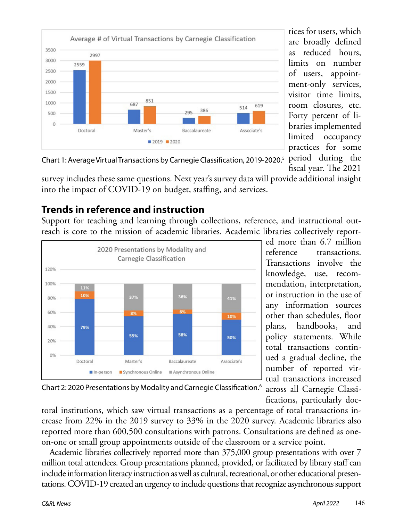

tices for users, which are broadly defined as reduced hours, limits on number of users, appointment-only services, visitor time limits, room closures, etc. Forty percent of libraries implemented limited occupancy practices for some

fiscal year. The 2021

Chart 1: Average Virtual Transactions by Carnegie Classification, 2019-2020.<sup>5</sup> period during the

survey includes these same questions. Next year's survey data will provide additional insight into the impact of COVID-19 on budget, staffing, and services.

# **Trends in reference and instruction**

Support for teaching and learning through collections, reference, and instructional outreach is core to the mission of academic libraries. Academic libraries collectively report-



ed more than 6.7 million reference transactions. Transactions involve the knowledge, use, recommendation, interpretation, or instruction in the use of any information sources other than schedules, floor plans, handbooks, and policy statements. While total transactions continued a gradual decline, the number of reported virtual transactions increased across all Carnegie Classi-

fications, particularly doc-

Chart 2: 2020 Presentations by Modality and Carnegie Classification.6

toral institutions, which saw virtual transactions as a percentage of total transactions increase from 22% in the 2019 survey to 33% in the 2020 survey. Academic libraries also reported more than 600,500 consultations with patrons. Consultations are defined as oneon-one or small group appointments outside of the classroom or a service point.

Academic libraries collectively reported more than 375,000 group presentations with over 7 million total attendees. Group presentations planned, provided, or facilitated by library staff can include information literacy instruction as well as cultural, recreational, or other educational presentations. COVID-19 created an urgency to include questions that recognize asynchronous support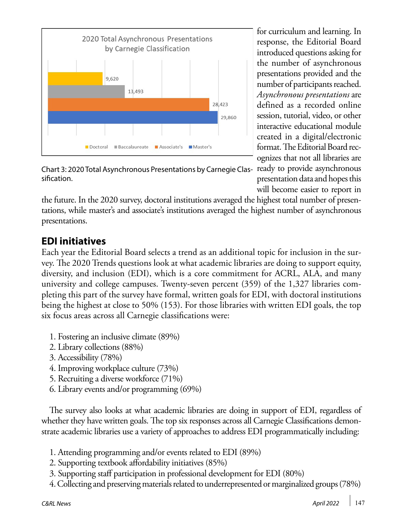

for curriculum and learning. In response, the Editorial Board introduced questions asking for the number of asynchronous presentations provided and the number of participants reached. *Asynchronous presentations* are defined as a recorded online session, tutorial, video, or other interactive educational module created in a digital/electronic format. The Editorial Board recognizes that not all libraries are

presentation data and hopes this

Chart 3: 2020 Total Asynchronous Presentations by Carnegie Clas- ready to provide asynchronous sification.

will become easier to report in the future. In the 2020 survey, doctoral institutions averaged the highest total number of presentations, while master's and associate's institutions averaged the highest number of asynchronous presentations.

# **EDI initiatives**

Each year the Editorial Board selects a trend as an additional topic for inclusion in the survey. The 2020 Trends questions look at what academic libraries are doing to support equity, diversity, and inclusion (EDI), which is a core commitment for ACRL, ALA, and many university and college campuses. Twenty-seven percent (359) of the 1,327 libraries completing this part of the survey have formal, written goals for EDI, with doctoral institutions being the highest at close to 50% (153). For those libraries with written EDI goals, the top six focus areas across all Carnegie classifications were:

- 1. Fostering an inclusive climate (89%)
- 2. Library collections (88%)
- 3. Accessibility (78%)
- 4. Improving workplace culture (73%)
- 5. Recruiting a diverse workforce (71%)
- 6. Library events and/or programming (69%)

The survey also looks at what academic libraries are doing in support of EDI, regardless of whether they have written goals. The top six responses across all Carnegie Classifications demonstrate academic libraries use a variety of approaches to address EDI programmatically including:

- 1. Attending programming and/or events related to EDI (89%)
- 2. Supporting textbook affordability initiatives (85%)
- 3. Supporting staff participation in professional development for EDI (80%)
- 4. Collecting and preserving materials related to underrepresented or marginalized groups (78%)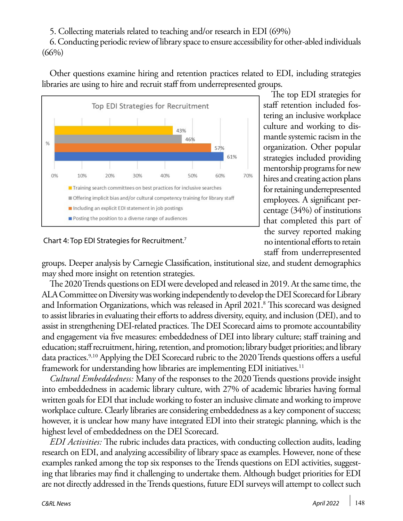5. Collecting materials related to teaching and/or research in EDI (69%)

6. Conducting periodic review of library space to ensure accessibility for other-abled individuals  $(66\%)$ 

Other questions examine hiring and retention practices related to EDI, including strategies libraries are using to hire and recruit staff from underrepresented groups.



Chart 4: Top EDI Strategies for Recruitment.7

The top EDI strategies for staff retention included fostering an inclusive workplace culture and working to dismantle systemic racism in the organization. Other popular strategies included providing mentorship programs for new hires and creating action plans for retaining underrepresented employees. A significant percentage (34%) of institutions that completed this part of the survey reported making no intentional efforts to retain staff from underrepresented

groups. Deeper analysis by Carnegie Classification, institutional size, and student demographics may shed more insight on retention strategies.

The 2020 Trends questions on EDI were developed and released in 2019. At the same time, the ALA Committee on Diversity was working independently to develop the DEI Scorecard for Library and Information Organizations, which was released in April 2021.<sup>8</sup> This scorecard was designed to assist libraries in evaluating their efforts to address diversity, equity, and inclusion (DEI), and to assist in strengthening DEI-related practices. The DEI Scorecard aims to promote accountability and engagement via five measures: embeddedness of DEI into library culture; staff training and education; staff recruitment, hiring, retention, and promotion; library budget priorities; and library data practices.<sup>9,10</sup> Applying the DEI Scorecard rubric to the 2020 Trends questions offers a useful framework for understanding how libraries are implementing EDI initiatives.<sup>11</sup>

*Cultural Embeddedness:* Many of the responses to the 2020 Trends questions provide insight into embeddedness in academic library culture, with 27% of academic libraries having formal written goals for EDI that include working to foster an inclusive climate and working to improve workplace culture. Clearly libraries are considering embeddedness as a key component of success; however, it is unclear how many have integrated EDI into their strategic planning, which is the highest level of embeddedness on the DEI Scorecard.

*EDI Activities:* The rubric includes data practices, with conducting collection audits, leading research on EDI, and analyzing accessibility of library space as examples. However, none of these examples ranked among the top six responses to the Trends questions on EDI activities, suggesting that libraries may find it challenging to undertake them. Although budget priorities for EDI are not directly addressed in the Trends questions, future EDI surveys will attempt to collect such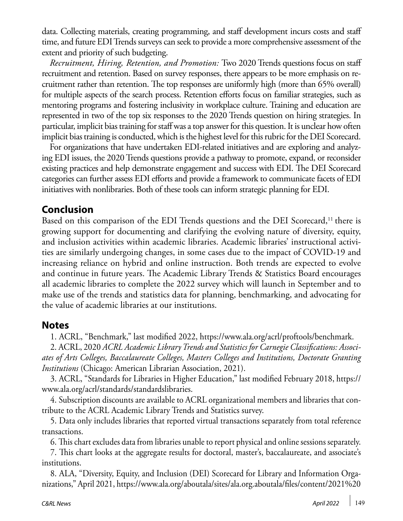data. Collecting materials, creating programming, and staff development incurs costs and staff time, and future EDI Trends surveys can seek to provide a more comprehensive assessment of the extent and priority of such budgeting.

*Recruitment, Hiring, Retention, and Promotion:* Two 2020 Trends questions focus on staff recruitment and retention. Based on survey responses, there appears to be more emphasis on recruitment rather than retention. The top responses are uniformly high (more than 65% overall) for multiple aspects of the search process. Retention efforts focus on familiar strategies, such as mentoring programs and fostering inclusivity in workplace culture. Training and education are represented in two of the top six responses to the 2020 Trends question on hiring strategies. In particular, implicit bias training for staff was a top answer for this question. It is unclear how often implicit bias training is conducted, which is the highest level for this rubric for the DEI Scorecard.

For organizations that have undertaken EDI-related initiatives and are exploring and analyzing EDI issues, the 2020 Trends questions provide a pathway to promote, expand, or reconsider existing practices and help demonstrate engagement and success with EDI. The DEI Scorecard categories can further assess EDI efforts and provide a framework to communicate facets of EDI initiatives with nonlibraries. Both of these tools can inform strategic planning for EDI.

# **Conclusion**

Based on this comparison of the EDI Trends questions and the DEI Scorecard,<sup>11</sup> there is growing support for documenting and clarifying the evolving nature of diversity, equity, and inclusion activities within academic libraries. Academic libraries' instructional activities are similarly undergoing changes, in some cases due to the impact of COVID-19 and increasing reliance on hybrid and online instruction. Both trends are expected to evolve and continue in future years. The Academic Library Trends & Statistics Board encourages all academic libraries to complete the 2022 survey which will launch in September and to make use of the trends and statistics data for planning, benchmarking, and advocating for the value of academic libraries at our institutions.

# **Notes**

1. ACRL, "Benchmark," last modified 2022, [https://www.ala.org/acrl/proftools/benchmark.](https://www.ala.org/acrl/proftools/benchmark)

2. ACRL, 2020 *ACRL Academic Library Trends and Statistics for Carnegie Classifications: Associates of Arts Colleges, Baccalaureate Colleges, Masters Colleges and Institutions, Doctorate Granting Institutions* (Chicago: American Librarian Association, 2021).

3. ACRL, "Standards for Libraries in Higher Education," last modified February 2018, [https://](https://www.ala.org/acrl/standards/standardslibraries) [www.ala.org/acrl/standards/standardslibraries.](https://www.ala.org/acrl/standards/standardslibraries)

4. Subscription discounts are available to ACRL organizational members and libraries that contribute to the ACRL Academic Library Trends and Statistics survey.

5. Data only includes libraries that reported virtual transactions separately from total reference transactions.

6. This chart excludes data from libraries unable to report physical and online sessions separately.

7. This chart looks at the aggregate results for doctoral, master's, baccalaureate, and associate's institutions.

8. ALA, "Diversity, Equity, and Inclusion (DEI) Scorecard for Library and Information Organizations," April 2021, [https://www.ala.org/aboutala/sites/ala.org.aboutala/files/content/2021%20](https://www.ala.org/aboutala/sites/ala.org.aboutala/files/content/2021%20EQUITY%20SCORECARD%20FOR%20LIBRARY%20AND%20INFORMATION%20ORGANIZATIONS.pdf)